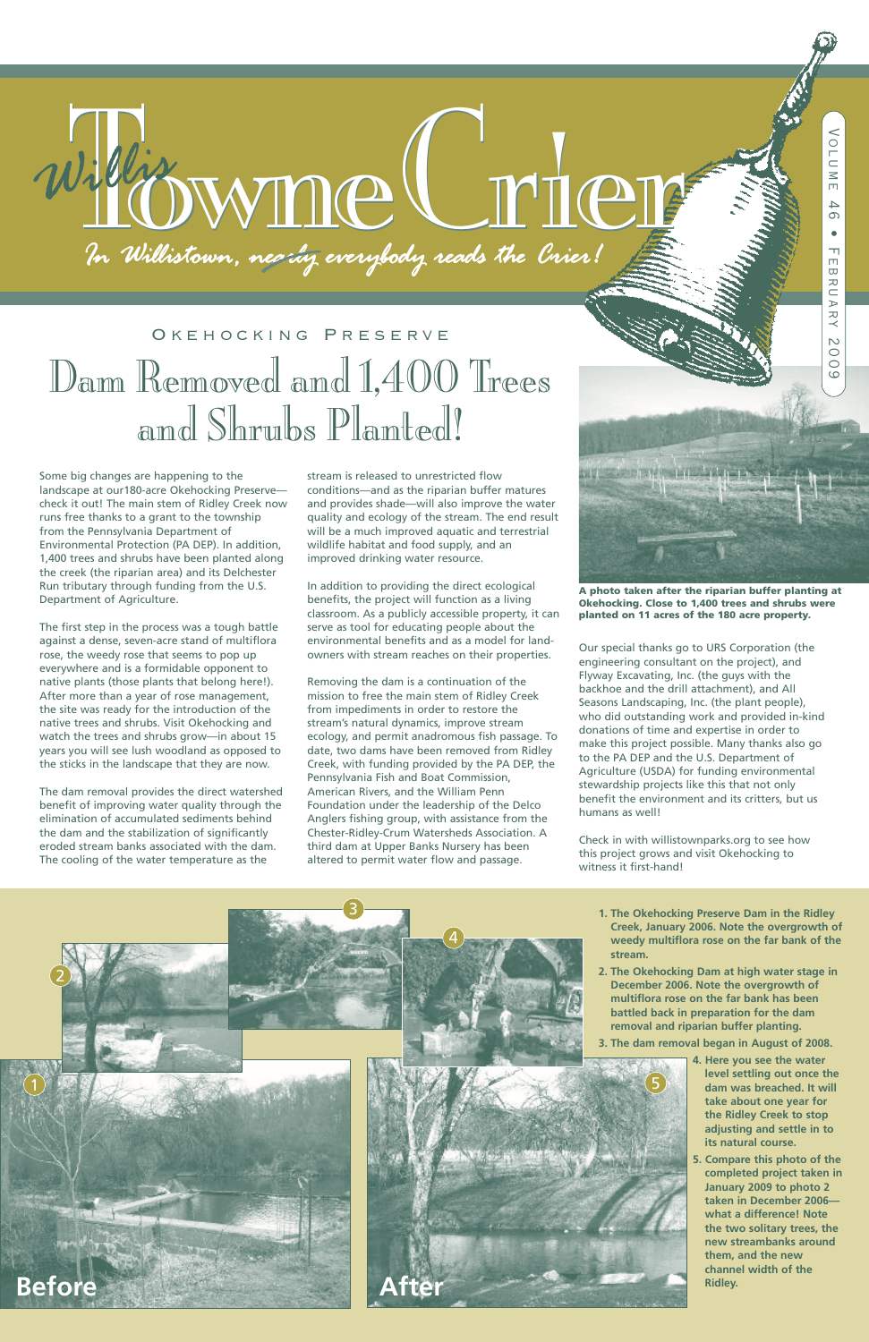# *Military* Monte Commercial Commercial Commercial Commercial Commercial Commercial Commercial Commercial Commercial

- **1. The Okehocking Preserve Dam in the Ridley Creek, January 2006. Note the overgrowth of weedy multiflora rose on the far bank of the stream.**
- **2. The Okehocking Dam at high water stage in December 2006. Note the overgrowth of**

**multiflora rose on the far bank has been battled back in preparation for the dam removal and riparian buffer planting.**

**3. The dam removal began in August of 2008.**

### Dam Removed and 1,400 Trees and Shrubs Planted! O K E H O C K I N G P R E S E R V E

- **4. Here you see the water level settling out once the dam was breached. It will take about one year for the Ridley Creek to stop adjusting and settle in to its natural course.**
- **5. Compare this photo of the completed project taken in January 2009 to photo 2 taken in December 2006 what a difference! Note the two solitary trees, the new streambanks around them, and the new channel width of the Ridley.**

Some big changes are happening to the landscape at our180-acre Okehocking Preserve check it out! The main stem of Ridley Creek now runs free thanks to a grant to the township from the Pennsylvania Department of Environmental Protection (PA DEP). In addition, 1,400 trees and shrubs have been planted along the creek (the riparian area) and its Delchester Run tributary through funding from the U.S. Department of Agriculture.

The first step in the process was a tough battle against a dense, seven-acre stand of multiflora rose, the weedy rose that seems to pop up everywhere and is a formidable opponent to native plants (those plants that belong here!). After more than a year of rose management, the site was ready for the introduction of the native trees and shrubs. Visit Okehocking and watch the trees and shrubs grow—in about 15 years you will see lush woodland as opposed to the sticks in the landscape that they are now.

The dam removal provides the direct watershed benefit of improving water quality through the elimination of accumulated sediments behind the dam and the stabilization of significantly eroded stream banks associated with the dam. The cooling of the water temperature as the

stream is released to unrestricted flow conditions—and as the riparian buffer matures and provides shade—will also improve the water quality and ecology of the stream. The end result will be a much improved aquatic and terrestrial wildlife habitat and food supply, and an improved drinking water resource.

In addition to providing the direct ecological benefits, the project will function as a living classroom. As a publicly accessible property, it can serve as tool for educating people about the environmental benefits and as a model for landowners with stream reaches on their properties.

Removing the dam is a continuation of the mission to free the main stem of Ridley Creek from impediments in order to restore the stream's natural dynamics, improve stream ecology, and permit anadromous fish passage. To date, two dams have been removed from Ridley Creek, with funding provided by the PA DEP, the Pennsylvania Fish and Boat Commission, American Rivers, and the William Penn Foundation under the leadership of the Delco Anglers fishing group, with assistance from the Chester-Ridley-Crum Watersheds Association. A third dam at Upper Banks Nursery has been altered to permit water flow and passage.



Our special thanks go to URS Corporation (the engineering consultant on the project), and Flyway Excavating, Inc. (the guys with the backhoe and the drill attachment), and All Seasons Landscaping, Inc. (the plant people), who did outstanding work and provided in-kind donations of time and expertise in order to make this project possible. Many thanks also go to the PA DEP and the U.S. Department of Agriculture (USDA) for funding environmental stewardship projects like this that not only benefit the environment and its critters, but us humans as well!

Check in with willistownparks.org to see how this project grows and visit Okehocking to witness it first-hand!

5



**A photo taken after the riparian buffer planting at Okehocking. Close to 1,400 trees and shrubs were planted on 11 acres of the 180 acre property.**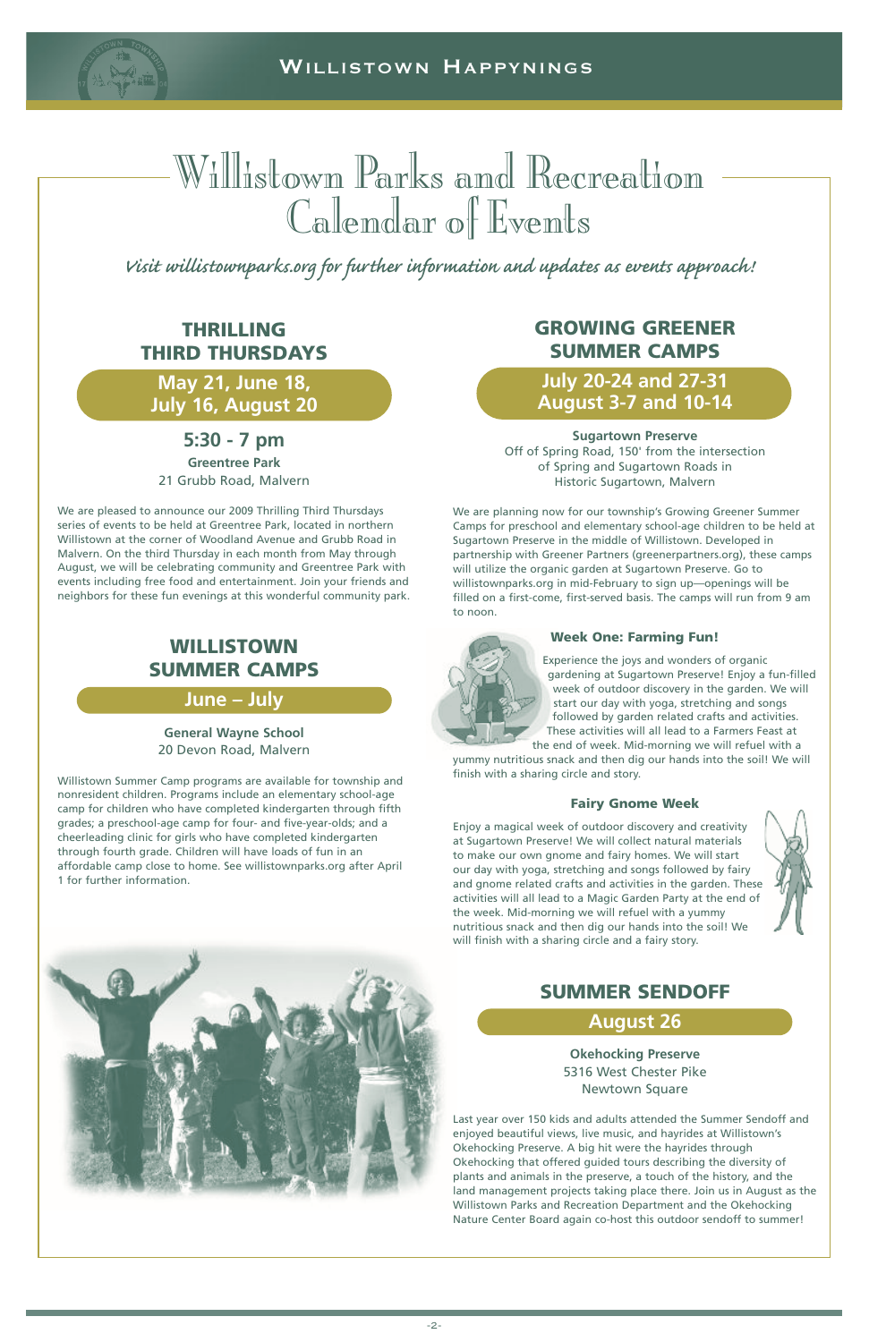

### **THRILLING THIRD THURSDAYS**

**May 21, June 18, July 16, August 20**

### **5:30 - 7 pm Greentree Park**

21 Grubb Road, Malvern

We are pleased to announce our 2009 Thrilling Third Thursdays series of events to be held at Greentree Park, located in northern Willistown at the corner of Woodland Avenue and Grubb Road in Malvern. On the third Thursday in each month from May through August, we will be celebrating community and Greentree Park with events including free food and entertainment. Join your friends and neighbors for these fun evenings at this wonderful community park.

### Willistown Parks and Recreation Calendar of Events

### **WILLISTOWN SUMMER CAMPS**

### **June – July**

**General Wayne School** 20 Devon Road, Malvern

Willistown Summer Camp programs are available for township and nonresident children. Programs include an elementary school-age camp for children who have completed kindergarten through fifth grades; a preschool-age camp for four- and five-year-olds; and a cheerleading clinic for girls who have completed kindergarten through fourth grade. Children will have loads of fun in an affordable camp close to home. See willistownparks.org after April 1 for further information.

Visit willistownparks.org for further information and updates as events approach!

### **GROWING GREENER SUMMER CAMPS**

### **July 20-24 and 27-31 August 3-7 and 10-14**

**Sugartown Preserve** Off of Spring Road, 150' from the intersection of Spring and Sugartown Roads in Historic Sugartown, Malvern

We are planning now for our township's Growing Greener Summer Camps for preschool and elementary school-age children to be held at Sugartown Preserve in the middle of Willistown. Developed in partnership with Greener Partners (greenerpartners.org), these camps will utilize the organic garden at Sugartown Preserve. Go to willistownparks.org in mid-February to sign up—openings will be filled on a first-come, first-served basis. The camps will run from 9 am to noon.



### **Week One: Farming Fun!**

Experience the joys and wonders of organic gardening at Sugartown Preserve! Enjoy a fun-filled week of outdoor discovery in the garden. We will start our day with yoga, stretching and songs followed by garden related crafts and activities. These activities will all lead to a Farmers Feast at the end of week. Mid-morning we will refuel with a

yummy nutritious snack and then dig our hands into the soil! We will finish with a sharing circle and story.

### **Fairy Gnome Week**

Enjoy a magical week of outdoor discovery and creativity at Sugartown Preserve! We will collect natural materials to make our own gnome and fairy homes. We will start our day with yoga, stretching and songs followed by fairy and gnome related crafts and activities in the garden. These activities will all lead to a Magic Garden Party at the end of the week. Mid-morning we will refuel with a yummy nutritious snack and then dig our hands into the soil! We will finish with a sharing circle and a fairy story.





### **SUMMER SENDOFF**

**August 26**

**Okehocking Preserve** 5316 West Chester Pike Newtown Square

Last year over 150 kids and adults attended the Summer Sendoff and enjoyed beautiful views, live music, and hayrides at Willistown's Okehocking Preserve. A big hit were the hayrides through Okehocking that offered guided tours describing the diversity of plants and animals in the preserve, a touch of the history, and the land management projects taking place there. Join us in August as the Willistown Parks and Recreation Department and the Okehocking Nature Center Board again co-host this outdoor sendoff to summer!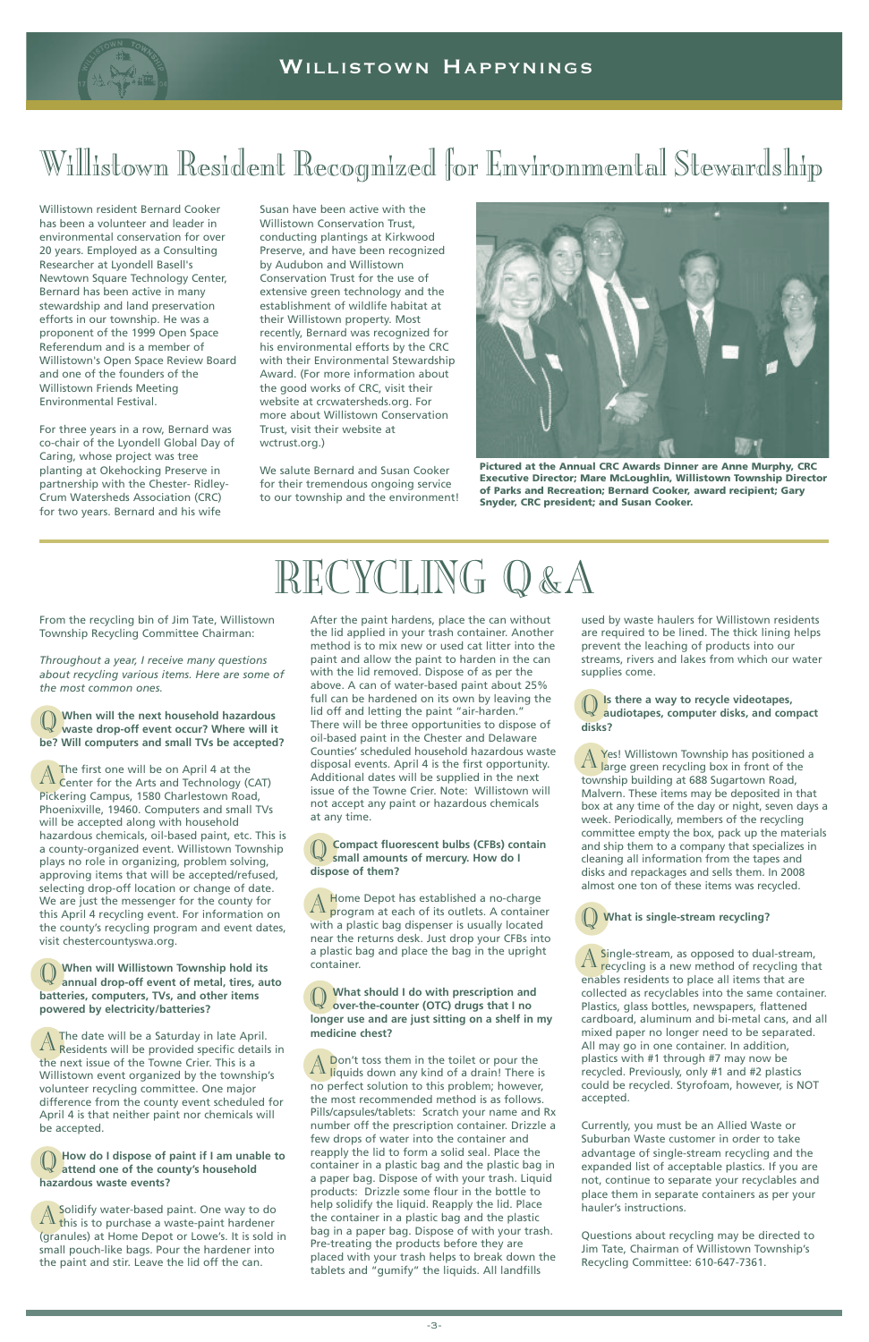

Willistown resident Bernard Cooker has been a volunteer and leader in environmental conservation for over 20 years. Employed as a Consulting Researcher at Lyondell Basell's Newtown Square Technology Center, Bernard has been active in many stewardship and land preservation efforts in our township. He was a proponent of the 1999 Open Space Referendum and is a member of Willistown's Open Space Review Board and one of the founders of the Willistown Friends Meeting Environmental Festival.

For three years in a row, Bernard was co-chair of the Lyondell Global Day of Caring, whose project was tree planting at Okehocking Preserve in partnership with the Chester- Ridley-Crum Watersheds Association (CRC) for two years. Bernard and his wife

Susan have been active with the Willistown Conservation Trust, conducting plantings at Kirkwood Preserve, and have been recognized by Audubon and Willistown Conservation Trust for the use of extensive green technology and the establishment of wildlife habitat at their Willistown property. Most recently, Bernard was recognized for his environmental efforts by the CRC with their Environmental Stewardship Award. (For more information about the good works of CRC, visit their website at crcwatersheds.org. For more about Willistown Conservation Trust, visit their website at wctrust.org.)

A The first one will be on April 4 at the<br>
Center for the Arts and Technology (CAT) Pickering Campus, 1580 Charlestown Road, Phoenixville, 19460. Computers and small TVs will be accepted along with household hazardous chemicals, oil-based paint, etc. This is a county-organized event. Willistown Township plays no role in organizing, problem solving, approving items that will be accepted/refused, selecting drop-off location or change of date. We are just the messenger for the county for this April 4 recycling event. For information on the county's recycling program and event dates, visit chestercountyswa.org.

We salute Bernard and Susan Cooker for their tremendous ongoing service to our township and the environment!

A The date will be a Saturday in late April.<br>A Residents will be provided specific details in the next issue of the Towne Crier. This is a Willistown event organized by the township's volunteer recycling committee. One major difference from the county event scheduled for April 4 is that neither paint nor chemicals will be accepted.

From the recycling bin of Jim Tate, Willistown Township Recycling Committee Chairman:

*Throughout a year, I receive many questions about recycling various items. Here are some of the most common ones.*

A Solidify water-based paint. One way to do<br>A this is to purchase a waste-paint hardener (granules) at Home Depot or Lowe's. It is sold in small pouch-like bags. Pour the hardener into the paint and stir. Leave the lid off the can.

### Q **When will the next household hazardous waste drop-off event occur? Where will it be? Will computers and small TVs be accepted?**

A Home Depot has established a no-charge<br>A program at each of its outlets. A container with a plastic bag dispenser is usually located near the returns desk. Just drop your CFBs into a plastic bag and place the bag in the upright container.

#### Q **When will Willistown Township hold its annual drop-off event of metal, tires, auto**

**batteries, computers, TVs, and other items powered by electricity/batteries?**

> A Don't toss them in the toilet or pour the<br>A liquids down any kind of a drain! There is no perfect solution to this problem; however, the most recommended method is as follows. Pills/capsules/tablets: Scratch your name and Rx number off the prescription container. Drizzle a few drops of water into the container and reapply the lid to form a solid seal. Place the container in a plastic bag and the plastic bag in a paper bag. Dispose of with your trash. Liquid products: Drizzle some flour in the bottle to help solidify the liquid. Reapply the lid. Place the container in a plastic bag and the plastic bag in a paper bag. Dispose of with your trash. Pre-treating the products before they are placed with your trash helps to break down the tablets and "gumify" the liquids. All landfills

Q **How do <sup>I</sup> dispose of paint if <sup>I</sup> am unable to attend one of the county's household hazardous waste events?**

A Yes! Willistown Township has positioned a<br>A large green recycling box in front of the township building at 688 Sugartown Road, Malvern. These items may be deposited in that box at any time of the day or night, seven days a week. Periodically, members of the recycling committee empty the box, pack up the materials and ship them to a company that specializes in cleaning all information from the tapes and disks and repackages and sells them. In 2008 almost one ton of these items was recycled.

A Single-stream, as opposed to dual-stream,<br>A recycling is a new method of recycling that enables residents to place all items that are collected as recyclables into the same container. Plastics, glass bottles, newspapers, flattened cardboard, aluminum and bi-metal cans, and all mixed paper no longer need to be separated. All may go in one container. In addition, plastics with #1 through #7 may now be recycled. Previously, only #1 and #2 plastics could be recycled. Styrofoam, however, is NOT accepted.

After the paint hardens, place the can without the lid applied in your trash container. Another method is to mix new or used cat litter into the paint and allow the paint to harden in the can with the lid removed. Dispose of as per the above. A can of water-based paint about 25% full can be hardened on its own by leaving the lid off and letting the paint "air-harden." There will be three opportunities to dispose of oil-based paint in the Chester and Delaware Counties' scheduled household hazardous waste disposal events. April 4 is the first opportunity. Additional dates will be supplied in the next issue of the Towne Crier. Note: Willistown will not accept any paint or hazardous chemicals at any time.

### Q **Compact fluorescent bulbs (CFBs) contain small amounts of mercury. How do I dispose of them?**

Q **What should <sup>I</sup> do with prescription and over-the-counter (OTC) drugs that I no longer use and are just sitting on a shelf in my medicine chest?**

used by waste haulers for Willistown residents are required to be lined. The thick lining helps prevent the leaching of products into our streams, rivers and lakes from which our water supplies come.

Q **Is there <sup>a</sup> way to recycle videotapes, audiotapes, computer disks, and compact disks?**

### Q **What is single-stream recycling?**

Currently, you must be an Allied Waste or Suburban Waste customer in order to take advantage of single-stream recycling and the expanded list of acceptable plastics. If you are not, continue to separate your recyclables and place them in separate containers as per your hauler's instructions.

Questions about recycling may be directed to Jim Tate, Chairman of Willistown Township's Recycling Committee: 610-647-7361.

### RECYCLING Q&A



**Pictured at the Annual CRC Awards Dinner are Anne Murphy, CRC Executive Director; Mare McLoughlin, Willistown Township Director of Parks and Recreation; Bernard Cooker, award recipient; Gary Snyder, CRC president; and Susan Cooker.**

### Willistown Resident Recognized for Environmental Stewardship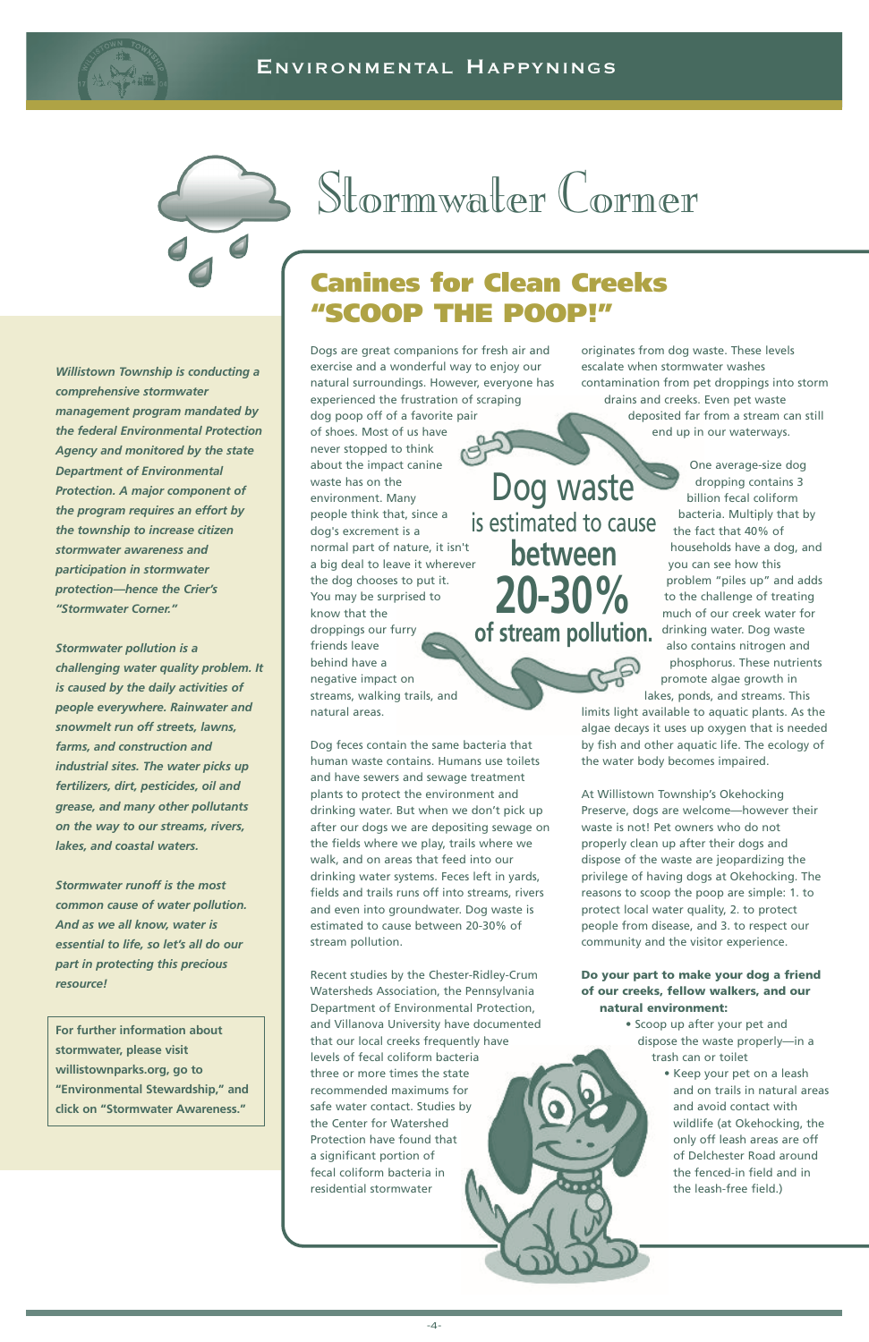

Dog feces contain the same bacteria that human waste contains. Humans use toilets and have sewers and sewage treatment plants to protect the environment and drinking water. But when we don't pick up after our dogs we are depositing sewage on the fields where we play, trails where we walk, and on areas that feed into our drinking water systems. Feces left in yards, fields and trails runs off into streams, rivers and even into groundwater. Dog waste is estimated to cause between 20-30% of stream pollution.

Recent studies by the Chester-Ridley-Crum Watersheds Association, the Pennsylvania Department of Environmental Protection, and Villanova University have documented that our local creeks frequently have levels of fecal coliform bacteria three or more times the state recommended maximums for safe water contact. Studies by the Center for Watershed Protection have found that a significant portion of fecal coliform bacteria in residential stormwater

originates from dog waste. These levels escalate when stormwater washes contamination from pet droppings into storm drains and creeks. Even pet waste deposited far from a stream can still end up in our waterways.

> One average-size dog dropping contains 3 billion fecal coliform bacteria. Multiply that by the fact that 40% of households have a dog, and you can see how this problem "piles up" and adds to the challenge of treating much of our creek water for drinking water. Dog waste also contains nitrogen and phosphorus. These nutrients promote algae growth in lakes, ponds, and streams. This

Dogs are great companions for fresh air and exercise and a wonderful way to enjoy our natural surroundings. However, everyone has experienced the frustration of scraping dog poop off of a favorite pair of shoes. Most of us have never stopped to think about the impact canine waste has on the environment. Many people think that, since a dog's excrement is a normal part of nature, it isn't a big deal to leave it wherever the dog chooses to put it. You may be surprised to know that the droppings our furry friends leave behind have a negative impact on streams, walking trails, and natural areas. Dog waste is estimated to cause **between 20-30% of stream pollution.**

limits light available to aquatic plants. As the algae decays it uses up oxygen that is needed by fish and other aquatic life. The ecology of the water body becomes impaired.

At Willistown Township's Okehocking Preserve, dogs are welcome—however their waste is not! Pet owners who do not properly clean up after their dogs and dispose of the waste are jeopardizing the privilege of having dogs at Okehocking. The reasons to scoop the poop are simple: 1. to protect local water quality, 2. to protect people from disease, and 3. to respect our community and the visitor experience.

**Do your part to make your dog a friend**

**of our creeks, fellow walkers, and our natural environment:**

- Scoop up after your pet and dispose the waste properly—in a trash can or toilet
	- Keep your pet on a leash and on trails in natural areas and avoid contact with wildlife (at Okehocking, the only off leash areas are off of Delchester Road around the fenced-in field and in the leash-free field.)

### Stormwater Corner

*Willistown Township is conducting a comprehensive stormwater management program mandated by the federal Environmental Protection Agency and monitored by the state Department of Environmental Protection. A major component of the program requires an effort by the township to increase citizen stormwater awareness and participation in stormwater protection—hence the Crier's "Stormwater Corner."*

*Stormwater pollution is a challenging water quality problem. It is caused by the daily activities of people everywhere. Rainwater and snowmelt run off streets, lawns, farms, and construction and industrial sites. The water picks up fertilizers, dirt, pesticides, oil and grease, and many other pollutants on the way to our streams, rivers, lakes, and coastal waters.*

*Stormwater runoff is the most common cause of water pollution. And as we all know, water is essential to life, so let's all do our part in protecting this precious resource!*

**For further information about stormwater, please visit willistownparks.org, go to "Environmental Stewardship," and click on "Stormwater Awareness."**

### **Canines for Clean Creeks "SCOOP THE POOP!"**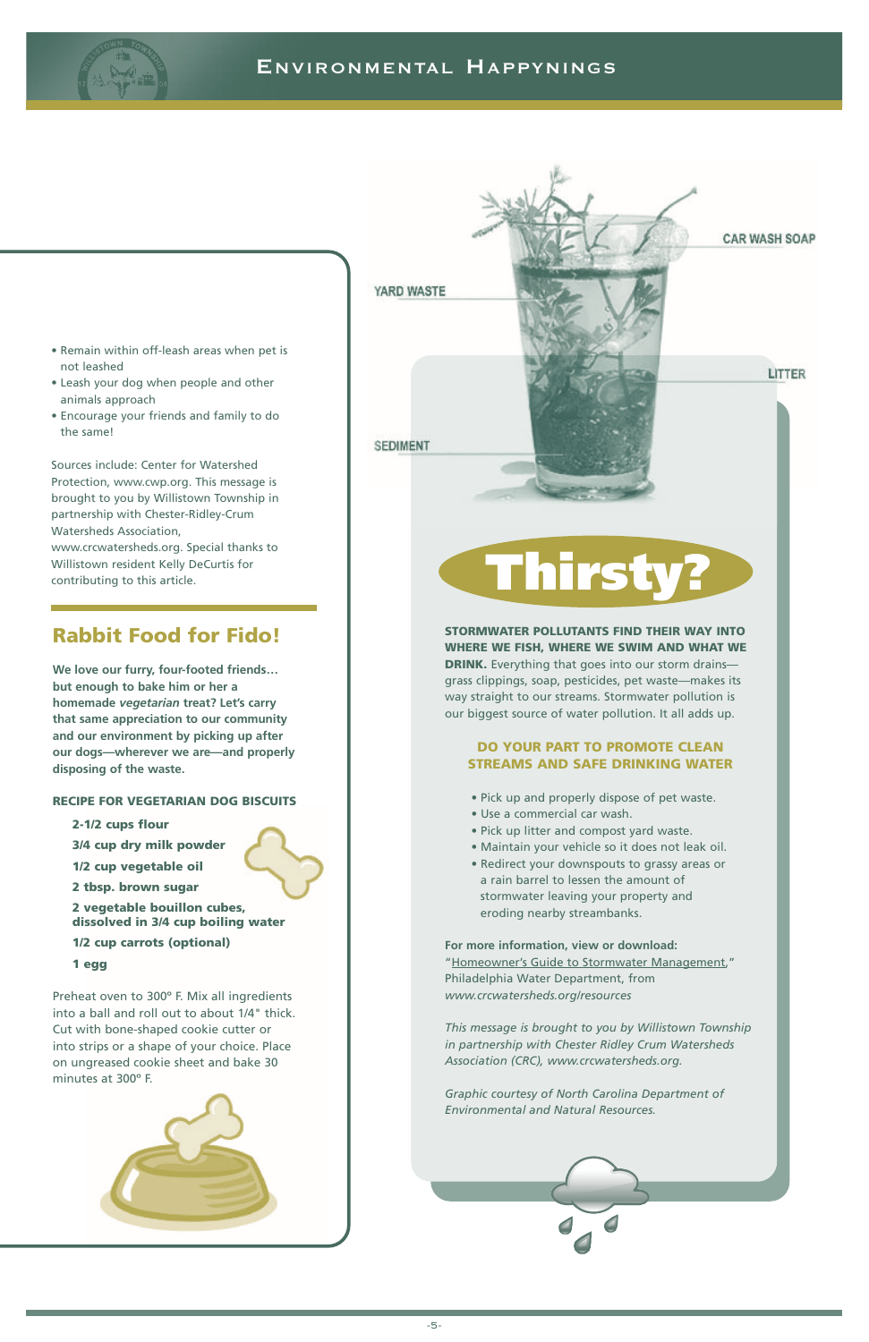### **STORMWATER POLLUTANTS FIND THEIR WAY INTO WHERE WE FISH, WHERE WE SWIM AND WHAT WE DRINK.** Everything that goes into our storm drains-



grass clippings, soap, pesticides, pet waste—makes its way straight to our streams. Stormwater pollution is our biggest source of water pollution. It all adds up.

### **DO YOUR PART TO PROMOTE CLEAN STREAMS AND SAFE DRINKING WATER**

- Pick up and properly dispose of pet waste.
- Use a commercial car wash.
- Pick up litter and compost yard waste.
- Maintain your vehicle so it does not leak oil.
- Redirect your downspouts to grassy areas or a rain barrel to lessen the amount of stormwater leaving your property and eroding nearby streambanks.

**For more information, view or download:** "Homeowner's Guide to Stormwater Management," Philadelphia Water Department, from

*www.crcwatersheds.org/resources*

*This message is brought to you by Willistown Township in partnership with Chester Ridley Crum Watersheds Association (CRC), www.crcwatersheds.org.*

*Graphic courtesy of North Carolina Department of Environmental and Natural Resources.*



### **Rabbit Food for Fido!**

**We love our furry, four-footed friends… but enough to bake him or her a homemade** *vegetarian* **treat? Let's carry that same appreciation to our community and our environment by picking up after our dogs—wherever we are—and properly disposing of the waste.**

### **RECIPE FOR VEGETARIAN DOG BISCUITS**

**2-1/2 cups flour 3/4 cup dry milk powder 1/2 cup vegetable oil 2 tbsp. brown sugar 2 vegetable bouillon cubes, dissolved in 3/4 cup boiling water**

**1/2 cup carrots (optional)**

**1 egg**

Preheat oven to 300º F. Mix all ingredients into a ball and roll out to about 1/4" thick. Cut with bone-shaped cookie cutter or into strips or a shape of your choice. Place on ungreased cookie sheet and bake 30 minutes at 300º F.





- Remain within off-leash areas when pet is not leashed
- Leash your dog when people and other animals approach
- Encourage your friends and family to do the same!

Sources include: Center for Watershed Protection, www.cwp.org. This message is brought to you by Willistown Township in partnership with Chester-Ridley-Crum Watersheds Association, www.crcwatersheds.org. Special thanks to Willistown resident Kelly DeCurtis for contributing to this article.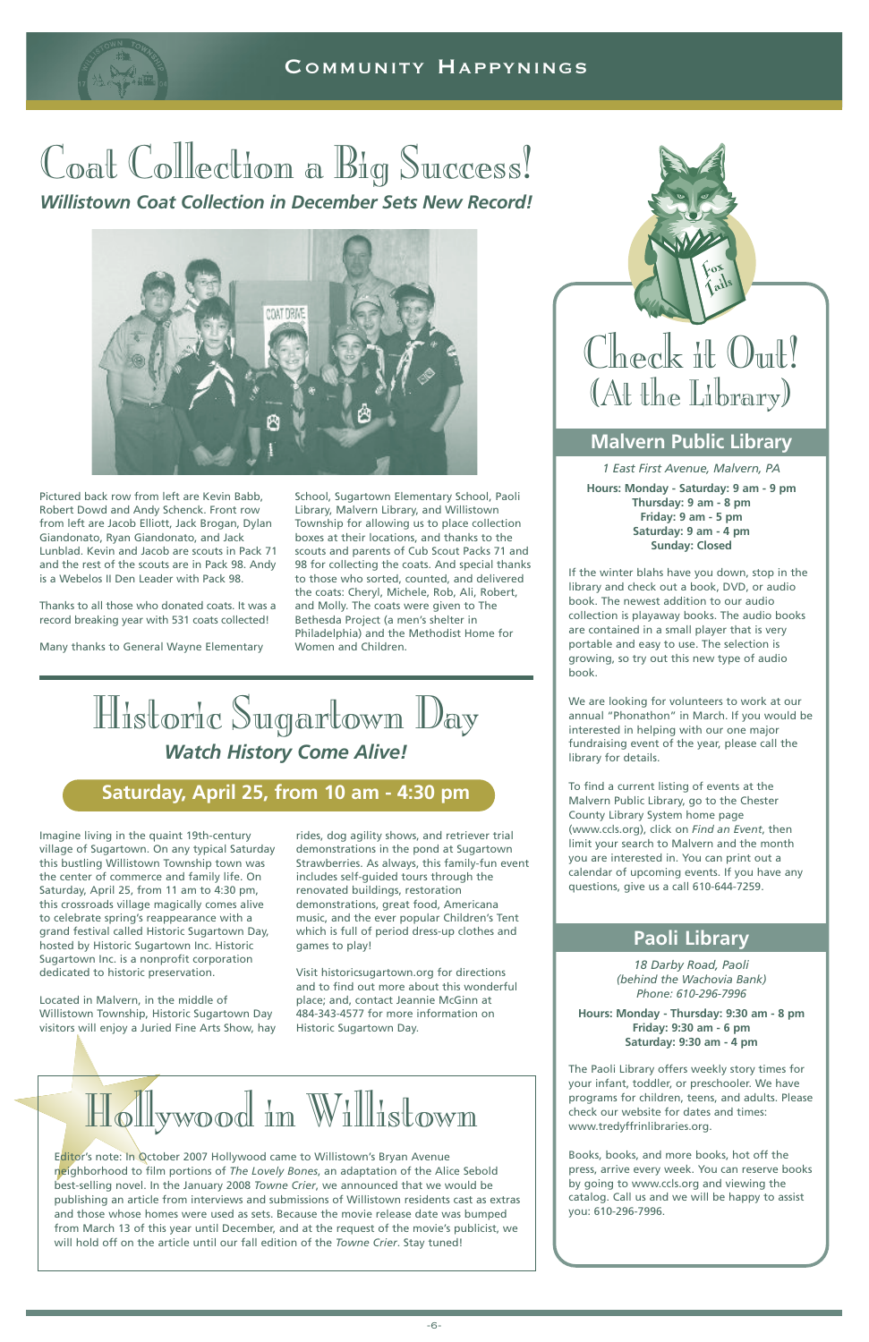### COMMUNITY HAPPYNINGS

### Coat Collection a Big Success!

*Willistown Coat Collection in December Sets New Record!*



### **Malvern Public Library**

*1 East First Avenue, Malvern, PA* **Hours: Monday - Saturday: 9 am - 9 pm Thursday: 9 am - 8 pm Friday: 9 am - 5 pm Saturday: 9 am - 4 pm Sunday: Closed**

If the winter blahs have you down, stop in the library and check out a book, DVD, or audio book. The newest addition to our audio collection is playaway books. The audio books are contained in a small player that is very portable and easy to use. The selection is growing, so try out this new type of audio book.

We are looking for volunteers to work at our annual "Phonathon" in March. If you would be interested in helping with our one major fundraising event of the year, please call the library for details.

To find a current listing of events at the Malvern Public Library, go to the Chester County Library System home page (www.ccls.org), click on *Find an Event*, then limit your search to Malvern and the month you are interested in. You can print out a calendar of upcoming events. If you have any questions, give us a call 610-644-7259.

### **Paoli Library**

Editor's note: In October 2007 Hollywood came to Willistown's Bryan Avenue neighborhood to film portions of *The Lovely Bones*, an adaptation of the Alice Sebold best-selling novel. In the January 2008 *Towne Crier*, we announced that we would be publishing an article from interviews and submissions of Willistown residents cast as extras and those whose homes were used as sets. Because the movie release date was bumped from March 13 of this year until December, and at the request of the movie's publicist, we will hold off on the article until our fall edition of the *Towne Crier*. Stay tuned!

*18 Darby Road, Paoli (behind the Wachovia Bank)*

*Phone: 610-296-7996*

**Hours: Monday - Thursday: 9:30 am - 8 pm Friday: 9:30 am - 6 pm Saturday: 9:30 am - 4 pm**

The Paoli Library offers weekly story times for your infant, toddler, or preschooler. We have programs for children, teens, and adults. Please check our website for dates and times: www.tredyffrinlibraries.org.

Books, books, and more books, hot off the press, arrive every week. You can reserve books by going to www.ccls.org and viewing the catalog. Call us and we will be happy to assist you: 610-296-7996.





### **Saturday, April 25, from 10 am - 4:30 pm**

Imagine living in the quaint 19th-century village of Sugartown. On any typical Saturday this bustling Willistown Township town was the center of commerce and family life. On Saturday, April 25, from 11 am to 4:30 pm, this crossroads village magically comes alive to celebrate spring's reappearance with a grand festival called Historic Sugartown Day, hosted by Historic Sugartown Inc. Historic Sugartown Inc. is a nonprofit corporation dedicated to historic preservation.

Located in Malvern, in the middle of Willistown Township, Historic Sugartown Day visitors will enjoy a Juried Fine Arts Show, hay rides, dog agility shows, and retriever trial demonstrations in the pond at Sugartown Strawberries. As always, this family-fun event includes self-guided tours through the renovated buildings, restoration demonstrations, great food, Americana music, and the ever popular Children's Tent which is full of period dress-up clothes and games to play!

Visit historicsugartown.org for directions and to find out more about this wonderful place; and, contact Jeannie McGinn at 484-343-4577 for more information on Historic Sugartown Day.

Pictured back row from left are Kevin Babb, Robert Dowd and Andy Schenck. Front row from left are Jacob Elliott, Jack Brogan, Dylan Giandonato, Ryan Giandonato, and Jack Lunblad. Kevin and Jacob are scouts in Pack 71 and the rest of the scouts are in Pack 98. Andy is a Webelos II Den Leader with Pack 98.

Thanks to all those who donated coats. It was a record breaking year with 531 coats collected!

Many thanks to General Wayne Elementary

School, Sugartown Elementary School, Paoli Library, Malvern Library, and Willistown Township for allowing us to place collection boxes at their locations, and thanks to the scouts and parents of Cub Scout Packs 71 and 98 for collecting the coats. And special thanks to those who sorted, counted, and delivered the coats: Cheryl, Michele, Rob, Ali, Robert, and Molly. The coats were given to The Bethesda Project (a men's shelter in Philadelphia) and the Methodist Home for Women and Children.

### Hollywood in Willistown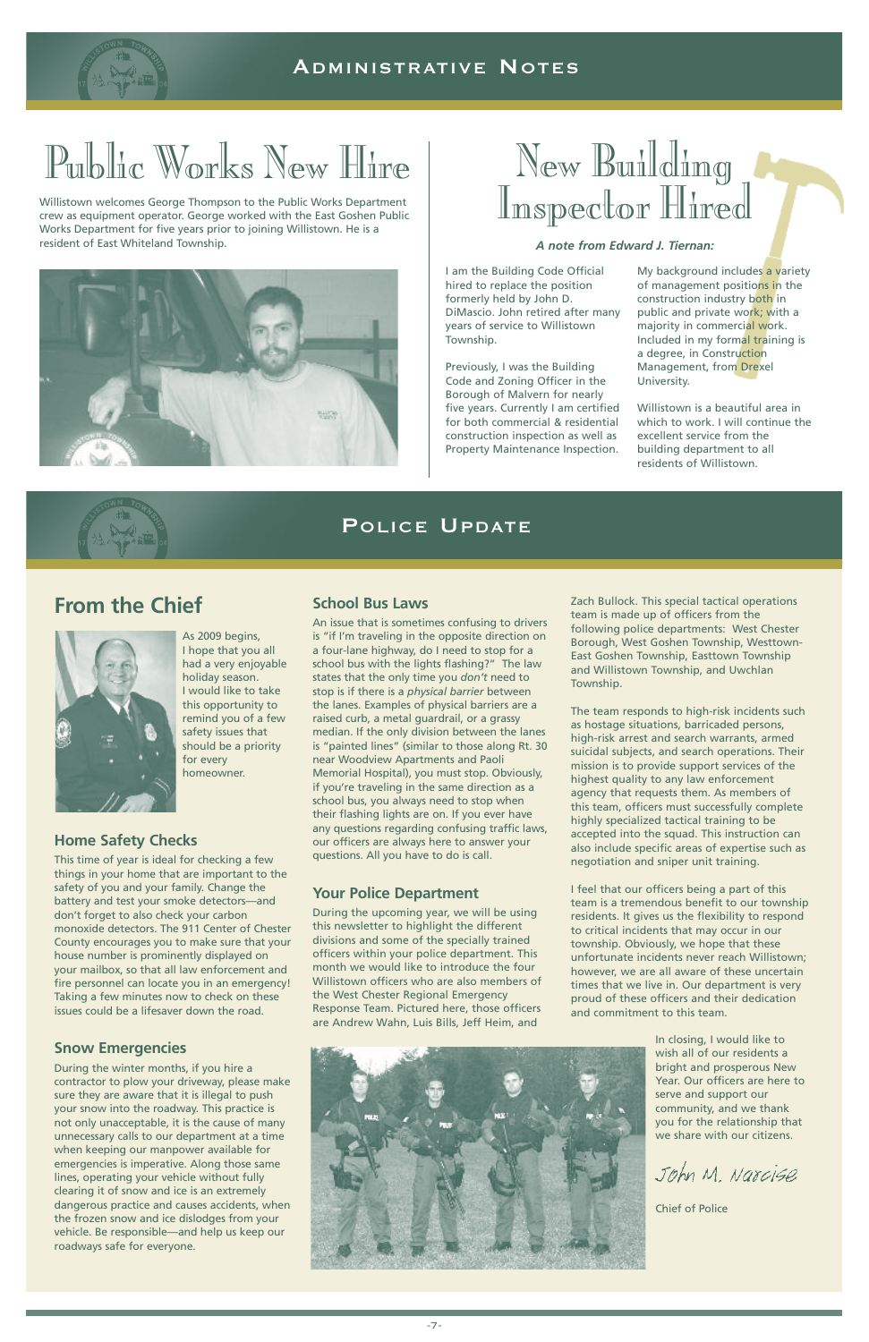

### Public Works New Hire

### POLICE UPDATE

Willistown welcomes George Thompson to the Public Works Department crew as equipment operator. George worked with the East Goshen Public Works Department for five years prior to joining Willistown. He is a resident of East Whiteland Township.



## New Building<br>Inspector Hired

### **From the Chief**



As 2009 begins, I hope that you all had a very enjoyable holiday season. I would like to take this opportunity to remind you of a few safety issues that should be a priority for every homeowner.

### **Home Safety Checks**

This time of year is ideal for checking a few things in your home that are important to the safety of you and your family. Change the battery and test your smoke detectors—and don't forget to also check your carbon monoxide detectors. The 911 Center of Chester County encourages you to make sure that your house number is prominently displayed on your mailbox, so that all law enforcement and fire personnel can locate you in an emergency! Taking a few minutes now to check on these issues could be a lifesaver down the road.

### **Snow Emergencies**

During the winter months, if you hire a contractor to plow your driveway, please make sure they are aware that it is illegal to push your snow into the roadway. This practice is not only unacceptable, it is the cause of many unnecessary calls to our department at a time when keeping our manpower available for emergencies is imperative. Along those same lines, operating your vehicle without fully clearing it of snow and ice is an extremely dangerous practice and causes accidents, when the frozen snow and ice dislodges from your vehicle. Be responsible—and help us keep our roadways safe for everyone.

### **School Bus Laws**

An issue that is sometimes confusing to drivers is "if I'm traveling in the opposite direction on a four-lane highway, do I need to stop for a school bus with the lights flashing?" The law states that the only time you *don't* need to stop is if there is a *physical barrier* between the lanes. Examples of physical barriers are a raised curb, a metal guardrail, or a grassy median. If the only division between the lanes is "painted lines" (similar to those along Rt. 30 near Woodview Apartments and Paoli Memorial Hospital), you must stop. Obviously, if you're traveling in the same direction as a school bus, you always need to stop when their flashing lights are on. If you ever have any questions regarding confusing traffic laws, our officers are always here to answer your questions. All you have to do is call.

### **Your Police Department**

During the upcoming year, we will be using this newsletter to highlight the different divisions and some of the specially trained officers within your police department. This month we would like to introduce the four Willistown officers who are also members of

the West Chester Regional Emergency Response Team. Pictured here, those officers are Andrew Wahn, Luis Bills, Jeff Heim, and



Zach Bullock. This special tactical operations team is made up of officers from the following police departments: West Chester Borough, West Goshen Township, Westtown-East Goshen Township, Easttown Township and Willistown Township, and Uwchlan Township.

The team responds to high-risk incidents such as hostage situations, barricaded persons, high-risk arrest and search warrants, armed suicidal subjects, and search operations. Their mission is to provide support services of the highest quality to any law enforcement agency that requests them. As members of this team, officers must successfully complete highly specialized tactical training to be accepted into the squad. This instruction can also include specific areas of expertise such as negotiation and sniper unit training.

I feel that our officers being a part of this team is a tremendous benefit to our township residents. It gives us the flexibility to respond to critical incidents that may occur in our township. Obviously, we hope that these unfortunate incidents never reach Willistown; however, we are all aware of these uncertain times that we live in. Our department is very

proud of these officers and their dedication and commitment to this team.

> In closing, I would like to wish all of our residents a bright and prosperous New Year. Our officers are here to serve and support our community, and we thank you for the relationship that we share with our citizens.

John M. Narcise

Chief of Police

I am the Building Code Official hired to replace the position formerly held by John D. DiMascio. John retired after many years of service to Willistown Township.

Previously, I was the Building Code and Zoning Officer in the Borough of Malvern for nearly five years. Currently I am certified for both commercial & residential construction inspection as well as Property Maintenance Inspection.

My background includes a variety of management positions in the construction industry both in public and private work; with a majority in commercial work. Included in my formal training is a degree, in Construction Management, from Drexel University.

Willistown is a beautiful area in which to work. I will continue the excellent service from the building department to all residents of Willistown.



### *A note from Edward J. Tiernan:*